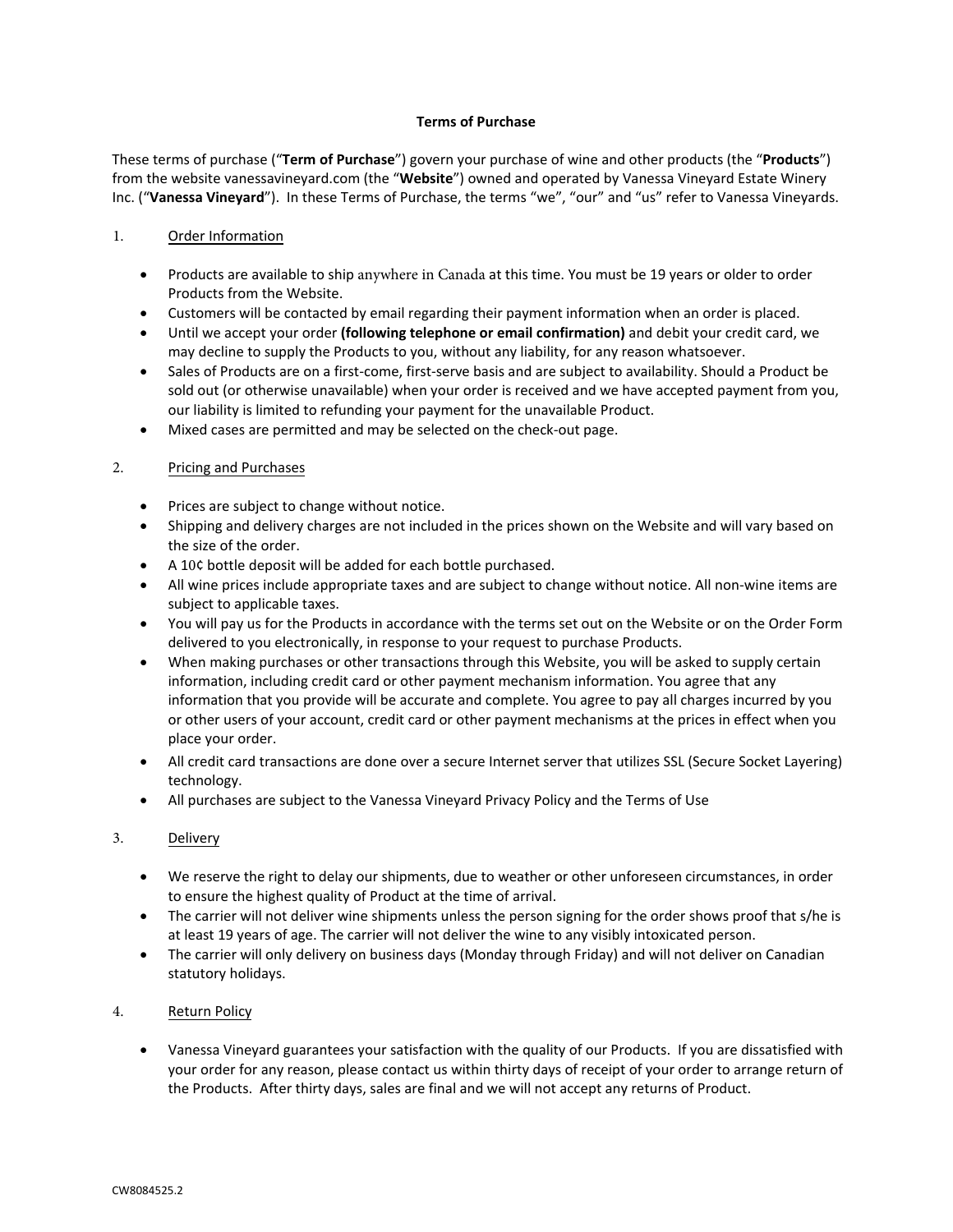#### **Terms of Purchase**

These terms of purchase ("**Term of Purchase**") govern your purchase of wine and other products (the "**Products**") from the website vanessavineyard.com (the "**Website**") owned and operated by Vanessa Vineyard Estate Winery Inc. ("**Vanessa Vineyard**"). In these Terms of Purchase, the terms "we", "our" and "us" refer to Vanessa Vineyards.

## 1. Order Information

- Products are available to ship anywhere in Canada at this time. You must be 19 years or older to order Products from the Website.
- Customers will be contacted by email regarding their payment information when an order is placed.
- Until we accept your order **(following telephone or email confirmation)** and debit your credit card, we may decline to supply the Products to you, without any liability, for any reason whatsoever.
- Sales of Products are on a first‐come, first‐serve basis and are subject to availability. Should a Product be sold out (or otherwise unavailable) when your order is received and we have accepted payment from you, our liability is limited to refunding your payment for the unavailable Product.
- Mixed cases are permitted and may be selected on the check-out page.

# 2. Pricing and Purchases

- Prices are subject to change without notice.
- Shipping and delivery charges are not included in the prices shown on the Website and will vary based on the size of the order.
- A 10¢ bottle deposit will be added for each bottle purchased.
- All wine prices include appropriate taxes and are subject to change without notice. All non-wine items are subject to applicable taxes.
- You will pay us for the Products in accordance with the terms set out on the Website or on the Order Form delivered to you electronically, in response to your request to purchase Products.
- When making purchases or other transactions through this Website, you will be asked to supply certain information, including credit card or other payment mechanism information. You agree that any information that you provide will be accurate and complete. You agree to pay all charges incurred by you or other users of your account, credit card or other payment mechanisms at the prices in effect when you place your order.
- All credit card transactions are done over a secure Internet server that utilizes SSL (Secure Socket Layering) technology.
- All purchases are subject to the Vanessa Vineyard Privacy Policy and the Terms of Use

### 3. Delivery

- We reserve the right to delay our shipments, due to weather or other unforeseen circumstances, in order to ensure the highest quality of Product at the time of arrival.
- The carrier will not deliver wine shipments unless the person signing for the order shows proof that s/he is at least 19 years of age. The carrier will not deliver the wine to any visibly intoxicated person.
- The carrier will only delivery on business days (Monday through Friday) and will not deliver on Canadian statutory holidays.

### 4. Return Policy

• Vanessa Vineyard guarantees your satisfaction with the quality of our Products. If you are dissatisfied with your order for any reason, please contact us within thirty days of receipt of your order to arrange return of the Products. After thirty days, sales are final and we will not accept any returns of Product.